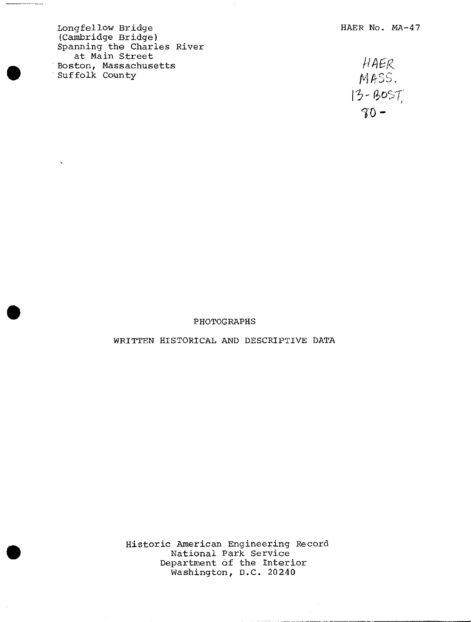Longfellow Bridge **HAER** No. MA-47 (Cambridge Bridge) Spanning the Charles River at Main Street<br>
ston, Massachusetts
(1998) Boston, Massachusetts Suffolk County

 $\overline{\phantom{a}}$ 

 $\ddot{\phantom{0}}$ 

MASS.  $13 - 805T$  $80 -$ 

## PHOTOGRAPHS

## WRITTEN HISTORICAL AND DESCRIPTIVE DATA

Historic American Engineering Record National Park Service Department of the Interior Washington, D.C, 20240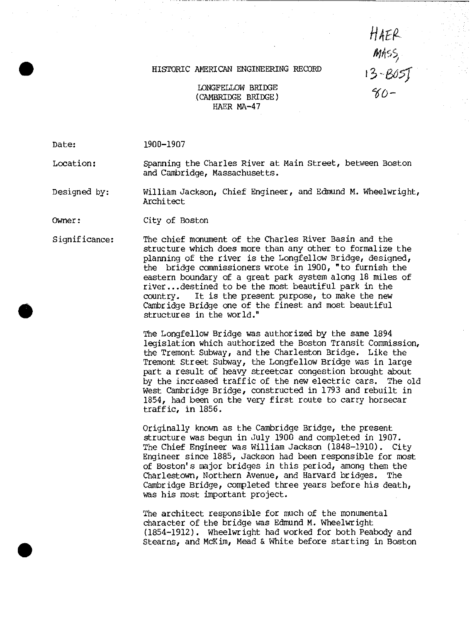## HISTORIC AMERICAN ENGINEERING RECORD

*m> 1f0*

LONGFELLOW BRIDGE (CAMBRIDGE BRIDGE) HAER MA-47

Date: 1900-1907

Location: Spanning the Charles River at Main Street, between Boston and Cambridge, Massachusetts.

Designed by: William Jackson, Chief Engineer, and Edmund M. Wheelwright, Architect

Owner: City of Boston

**#**

Significance: The chief monument of the Charles River Basin and the structure which does more than any other to formalize the planning of the river is the Longfellow Bridge, designed, the bridge commissioners wrote in 1900, "to furnish the eastern boundary of a great park system along 18 miles of river...destined to be the most beautiful park in the country. It is the present purpose, to make the new Cambridge Bridge one of the finest and most beautiful structures in the world."

> The Longfellow Bridge was authorized by the same 1894 legislation which authorized the Boston Transit Commission, the Tremont Subway, and the Charleston Bridge. Like the Tremont Street Subway, the Longfellow Bridge was in large part a result of heavy streetcar congestion brought about by the increased traffic of the new electric cars. The old West Cambridge Bridge, constructed in 1793 and rebuilt in 1854, had been on the very first route to carry horsecar traffic, in 1856.

Originally known as the Cambridge Bridge, the present structure was begun in July 1900 and completed in 1907. The Chief Engineer was William Jackson (1848-1910). City Engineer since 1885, Jackson had been responsible for most of Boston's major bridges in this period, among them the Charlestown, Northern Avenue, and Harvard bridges. The Cambridge Bridge, completed three years before his death, was his most important project.

The architect responsible for much of the monumental character of the bridge was Edmund M. Wheelwright (1854-1912). Wheelwright had worked for both Peabody and Stearns, and McKim, Mead & White before starting in Boston